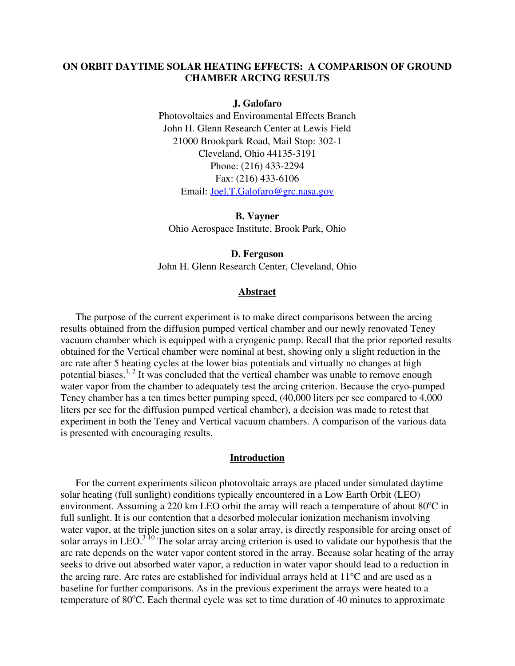# **ON ORBIT DAYTIME SOLAR HEATING EFFECTS: A COMPARISON OF GROUND CHAMBER ARCING RESULTS**

### **J. Galofaro**

Photovoltaics and Environmental Effects Branch John H. Glenn Research Center at Lewis Field 21000 Brookpark Road, Mail Stop: 302-1 Cleveland, Ohio 44135-3191 Phone: (216) 433-2294 Fax: (216) 433-6106 Email: [Joel.T.Galofaro@grc.nasa.gov](mailto:Joel.T.Galofaro@grc.nasa.gov)

**B. Vayner**  Ohio Aerospace Institute, Brook Park, Ohio

**D. Ferguson**  John H. Glenn Research Center, Cleveland, Ohio

## **Abstract**

The purpose of the current experiment is to make direct comparisons between the arcing results obtained from the diffusion pumped vertical chamber and our newly renovated Teney vacuum chamber which is equipped with a cryogenic pump. Recall that the prior reported results obtained for the Vertical chamber were nominal at best, showing only a slight reduction in the arc rate after 5 heating cycles at the lower bias potentials and virtually no changes at high potential biases.<sup>1, 2</sup> It was concluded that the vertical chamber was unable to remove enough water vapor from the chamber to adequately test the arcing criterion. Because the cryo-pumped Teney chamber has a ten times better pumping speed, (40,000 liters per sec compared to 4,000 liters per sec for the diffusion pumped vertical chamber), a decision was made to retest that experiment in both the Teney and Vertical vacuum chambers. A comparison of the various data is presented with encouraging results.

## **Introduction**

For the current experiments silicon photovoltaic arrays are placed under simulated daytime solar heating (full sunlight) conditions typically encountered in a Low Earth Orbit (LEO) environment. Assuming a 220 km LEO orbit the array will reach a temperature of about  $80^{\circ}$ C in full sunlight. It is our contention that a desorbed molecular ionization mechanism involving water vapor, at the triple junction sites on a solar array, is directly responsible for arcing onset of solar arrays in LEO.<sup>3-10</sup> The solar array arcing criterion is used to validate our hypothesis that the arc rate depends on the water vapor content stored in the array. Because solar heating of the array seeks to drive out absorbed water vapor, a reduction in water vapor should lead to a reduction in the arcing rare. Arc rates are established for individual arrays held at 11°C and are used as a baseline for further comparisons. As in the previous experiment the arrays were heated to a temperature of 80°C. Each thermal cycle was set to time duration of 40 minutes to approximate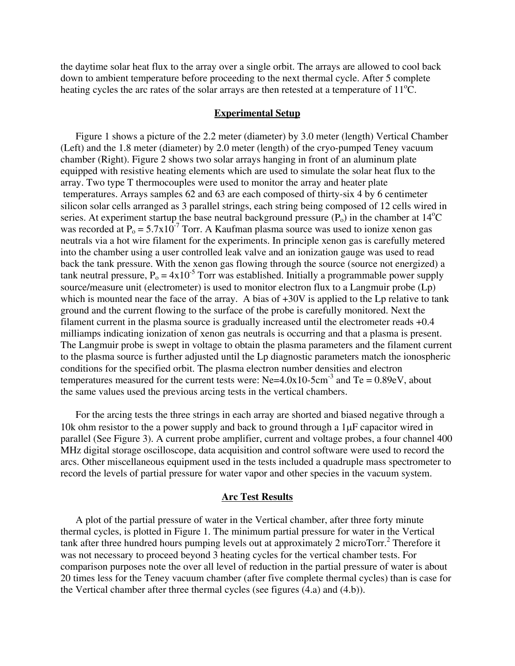the daytime solar heat flux to the array over a single orbit. The arrays are allowed to cool back down to ambient temperature before proceeding to the next thermal cycle. After 5 complete heating cycles the arc rates of the solar arrays are then retested at a temperature of  $11^{\circ}$ C.

## **Experimental Setup**

Figure 1 shows a picture of the 2.2 meter (diameter) by 3.0 meter (length) Vertical Chamber (Left) and the 1.8 meter (diameter) by 2.0 meter (length) of the cryo-pumped Teney vacuum chamber (Right). Figure 2 shows two solar arrays hanging in front of an aluminum plate equipped with resistive heating elements which are used to simulate the solar heat flux to the array. Two type T thermocouples were used to monitor the array and heater plate temperatures. Arrays samples 62 and 63 are each composed of thirty-six 4 by 6 centimeter silicon solar cells arranged as 3 parallel strings, each string being composed of 12 cells wired in series. At experiment startup the base neutral background pressure  $(P_0)$  in the chamber at  $14^{\circ}$ C was recorded at  $P_0 = 5.7 \times 10^{-7}$  Torr. A Kaufman plasma source was used to ionize xenon gas neutrals via a hot wire filament for the experiments. In principle xenon gas is carefully metered into the chamber using a user controlled leak valve and an ionization gauge was used to read back the tank pressure. With the xenon gas flowing through the source (source not energized) a tank neutral pressure,  $P_0 = 4x10^{-5}$  Torr was established. Initially a programmable power supply source/measure unit (electrometer) is used to monitor electron flux to a Langmuir probe (Lp) which is mounted near the face of the array. A bias of  $+30V$  is applied to the Lp relative to tank ground and the current flowing to the surface of the probe is carefully monitored. Next the filament current in the plasma source is gradually increased until the electrometer reads +0.4 milliamps indicating ionization of xenon gas neutrals is occurring and that a plasma is present. The Langmuir probe is swept in voltage to obtain the plasma parameters and the filament current to the plasma source is further adjusted until the Lp diagnostic parameters match the ionospheric conditions for the specified orbit. The plasma electron number densities and electron temperatures measured for the current tests were:  $Ne=4.0x10-5cm^{-3}$  and Te = 0.89eV, about the same values used the previous arcing tests in the vertical chambers.

For the arcing tests the three strings in each array are shorted and biased negative through a 10k ohm resistor to the a power supply and back to ground through a 1µF capacitor wired in parallel (See Figure 3). A current probe amplifier, current and voltage probes, a four channel 400 MHz digital storage oscilloscope, data acquisition and control software were used to record the arcs. Other miscellaneous equipment used in the tests included a quadruple mass spectrometer to record the levels of partial pressure for water vapor and other species in the vacuum system.

# **Arc Test Results**

A plot of the partial pressure of water in the Vertical chamber, after three forty minute thermal cycles, is plotted in Figure 1. The minimum partial pressure for water in the Vertical tank after three hundred hours pumping levels out at approximately 2 microTorr.<sup>2</sup> Therefore it was not necessary to proceed beyond 3 heating cycles for the vertical chamber tests. For comparison purposes note the over all level of reduction in the partial pressure of water is about 20 times less for the Teney vacuum chamber (after five complete thermal cycles) than is case for the Vertical chamber after three thermal cycles (see figures (4.a) and (4.b)).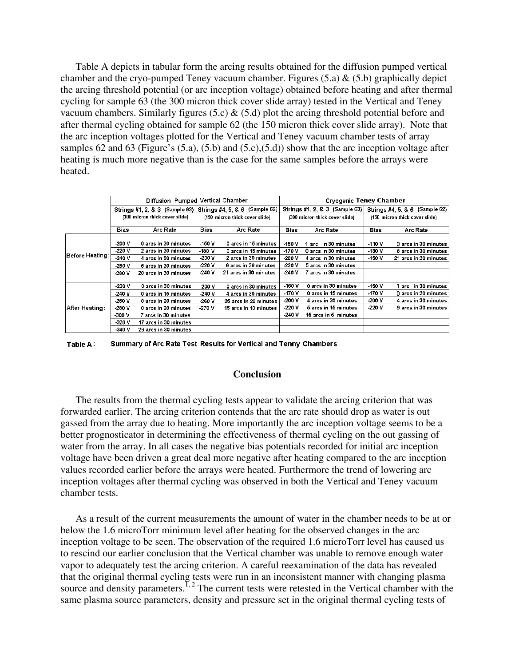Table A depicts in tabular form the arcing results obtained for the diffusion pumped vertical chamber and the cryo-pumped Teney vacuum chamber. Figures (5.a) & (5.b) graphically depict the arcing threshold potential (or arc inception voltage) obtained before heating and after thermal cycling for sample 63 (the 300 micron thick cover slide array) tested in the Vertical and Teney vacuum chambers. Similarly figures (5.c)  $\&$  (5.d) plot the arcing threshold potential before and after thermal cycling obtained for sample 62 (the 150 micron thick cover slide array). Note that the arc inception voltages plotted for the Vertical and Teney vacuum chamber tests of array samples 62 and 63 (Figure's  $(5.a)$ ,  $(5.b)$  and  $(5.c)$ , $(5.d)$ ) show that the arc inception voltage after heating is much more negative than is the case for the same samples before the arrays were heated.

|                 | Diffusion Pumped Vertical Chamber |                                                               |                                |                       | Cryogenic Teney Chamber        |                                |                                |                                |
|-----------------|-----------------------------------|---------------------------------------------------------------|--------------------------------|-----------------------|--------------------------------|--------------------------------|--------------------------------|--------------------------------|
|                 |                                   | Strings #1, 2, & 3 (Sample 63) Strings #4, 5, & 6 (Sample 62) |                                |                       |                                | Strings #1, 2, & 3 (Sample 63) |                                | Strings #4, 5, & 6 (Sample 62) |
|                 | (300 micron thick cover slide)    |                                                               | (150 micron thick cover slide) |                       | (300 micron thick cover slide) |                                | (150 micron thick cover slide) |                                |
|                 | <b>Bias</b>                       | <b>Arc Rate</b>                                               | <b>Bias</b>                    | Arc Rate              | Bias                           | Arc Rate                       | Bias                           | Arc Rate                       |
|                 |                                   |                                                               |                                |                       |                                |                                |                                |                                |
| Before Heating: | $-200V$                           | 0 arcs in 30 minutes                                          | $-150V$                        | 0 arcs in 15 minutes  | $-150V$                        | 1 arc in 30 minutes            | $-110V$                        | 0 arcs in 30 minutes           |
|                 | $-220V$                           | 2 arcs in 30 minutes                                          | -180 V                         | 0 arcs in 15 minutes  | $-170V$                        | 0 arcs in 30 minutes           | $-130$ V                       | 8 arcs in 30 minutes           |
|                 | $-240V$                           | 4 arcs in 60 minutes                                          | -200 V                         | 2 arcs in 30 minutes  | $-200V$                        | 4 arcs in 30 minutes           | $-150V$                        | 21 arcs in 20 minutes          |
|                 | -260 V                            | 6 arcs in 30 minutes                                          | -220 V                         | 6 arcs in 38 minutes  | -220 V                         | 5 arcs in 30 minutes           |                                |                                |
|                 | -280 V                            | 20 arcs in 30 minutes                                         | -240 V                         | 21 arcs in 30 minutes | -240 V                         | 7 arcs in 30 minutes           |                                |                                |
|                 |                                   |                                                               |                                |                       |                                |                                |                                |                                |
| After Heating:  | -220 V                            | 0 arcs in 30 minutes                                          | -200 V                         | 0 arcs in 30 minutes  | -150 V                         | 0 arcs in 30 minutes           | -150 V                         | 1 arc in 30 minutes            |
|                 | -240 V                            | 0 arcs in 15 minutes                                          | -240 V                         | 4 arcs in 30 minutes  | -170 V                         | 0 arcs in 15 minutes           | -170 V                         | 0 arcs in 20 minutes           |
|                 | $-260$ V                          | 0 arcs in 20 minutes                                          | -260 V                         | 25 arcs in 20 minutes | $-200$ V                       | 4 arcs in 30 minutes           | $-200V$                        | 4 arcs in 30 minutes           |
|                 | $-280$ V                          | 0 arcs in 20 minutes                                          | $-270V$                        | 15 arcs in 10 minutes | -220 V                         | 5 arcs in 15 minutes           | -220 V                         | 9 arcs in 30 minutes           |
|                 | -300 V                            | 7 arcs in 30 minutes                                          |                                |                       | -240 V                         | 15 arcs in 5 minutes           |                                |                                |
|                 | -320 V                            | 17 arcs in 30 minutes                                         |                                |                       |                                |                                |                                |                                |
|                 | -340 V                            | 29 arcs in 30 minutes                                         |                                |                       |                                |                                |                                |                                |

Summary of Arc Rate Test Results for Vertical and Tenny Chambers Table A:

# **Conclusion**

The results from the thermal cycling tests appear to validate the arcing criterion that was forwarded earlier. The arcing criterion contends that the arc rate should drop as water is out gassed from the array due to heating. More importantly the arc inception voltage seems to be a better prognosticator in determining the effectiveness of thermal cycling on the out gassing of water from the array. In all cases the negative bias potentials recorded for initial arc inception voltage have been driven a great deal more negative after heating compared to the arc inception values recorded earlier before the arrays were heated. Furthermore the trend of lowering arc inception voltages after thermal cycling was observed in both the Vertical and Teney vacuum chamber tests.

As a result of the current measurements the amount of water in the chamber needs to be at or below the 1.6 microTorr minimum level after heating for the observed changes in the arc inception voltage to be seen. The observation of the required 1.6 microTorr level has caused us to rescind our earlier conclusion that the Vertical chamber was unable to remove enough water vapor to adequately test the arcing criterion. A careful reexamination of the data has revealed that the original thermal cycling tests were run in an inconsistent manner with changing plasma source and density parameters.<sup> $1, 2$ </sup> The current tests were retested in the Vertical chamber with the same plasma source parameters, density and pressure set in the original thermal cycling tests of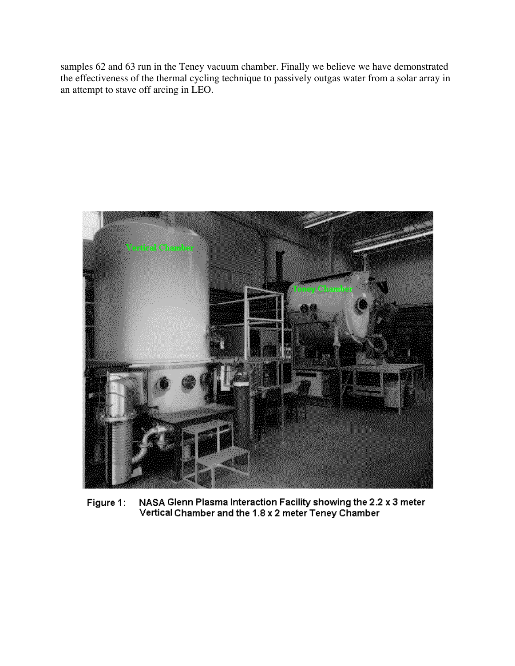samples 62 and 63 run in the Teney vacuum chamber. Finally we believe we have demonstrated the effectiveness of the thermal cycling technique to passively outgas water from a solar array in an attempt to stave off arcing in LEO.



NASA Glenn Plasma Interaction Facility showing the 2.2 x 3 meter Figure 1: Vertical Chamber and the 1.8 x 2 meter Teney Chamber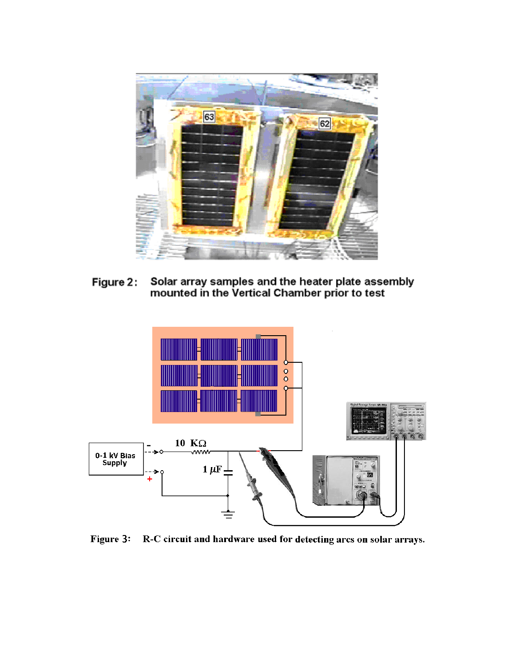

Solar array samples and the heater plate assembly<br>mounted in the Vertical Chamber prior to test Figure 2:



Figure 3: R-C circuit and hardware used for detecting arcs on solar arrays.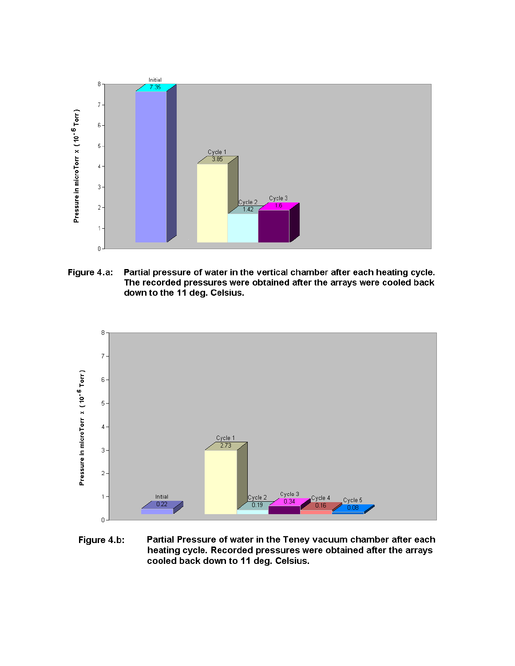

Figure 4.a: Partial pressure of water in the vertical chamber after each heating cycle. The recorded pressures were obtained after the arrays were cooled back down to the 11 deg. Celsius.



Figure 4.b: Partial Pressure of water in the Teney vacuum chamber after each heating cycle. Recorded pressures were obtained after the arrays cooled back down to 11 deg. Celsius.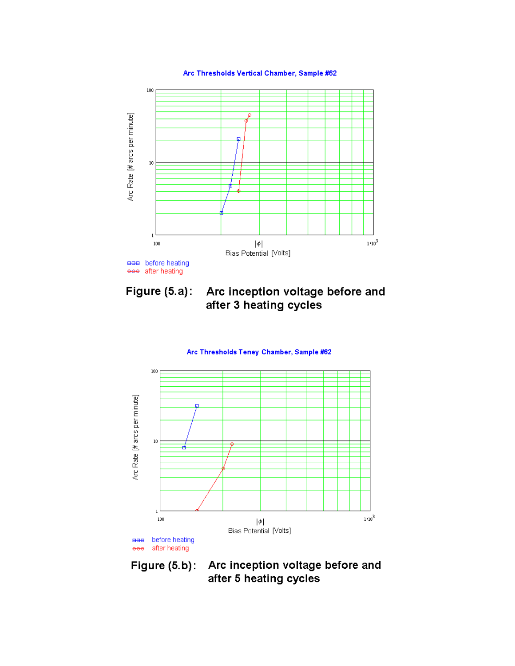#### Arc Thresholds Vertical Chamber, Sample #62



**BBB** before heating eee after heating

#### Figure (5.a): Arc inception voltage before and after 3 heating cycles

#### Arc Thresholds Teney Chamber, Sample #62



Figure  $(5.b)$ : Arc inception voltage before and after 5 heating cycles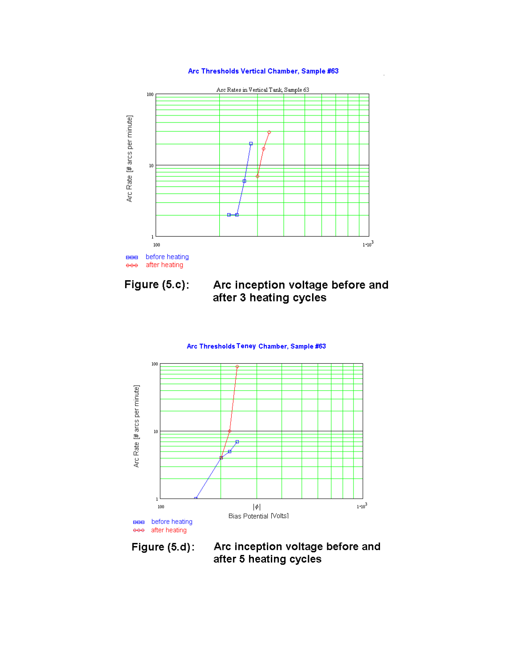#### Arc Thresholds Vertical Chamber, Sample #63



#### Figure (5.c): Arc inception voltage before and after 3 heating cycles

#### Arc Thresholds Teney Chamber, Sample #63



Arc inception voltage before and after 5 heating cycles